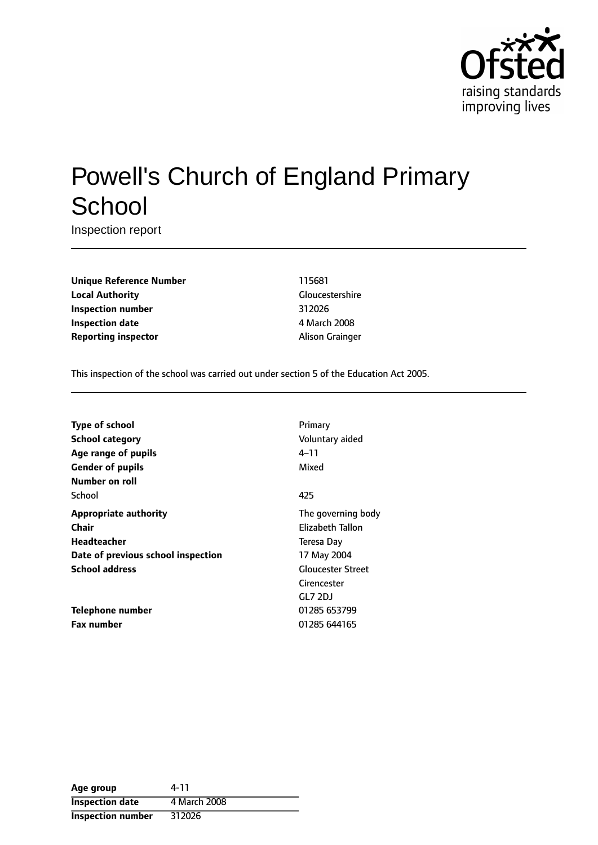

# Powell's Church of England Primary **School**

Inspection report

**Unique Reference Number** 115681 **Local Authority** Gloucestershire **Inspection number** 312026 **Inspection date** 4 March 2008 **Reporting inspector** Alison Grainger

This inspection of the school was carried out under section 5 of the Education Act 2005.

| <b>Type of school</b>              | Primary                  |
|------------------------------------|--------------------------|
| School category                    | Voluntary aided          |
| Age range of pupils                | 4–11                     |
| <b>Gender of pupils</b>            | Mixed                    |
| Number on roll                     |                          |
| School                             | 425                      |
| <b>Appropriate authority</b>       | The governing body       |
| Chair                              | Elizabeth Tallon         |
| Headteacher                        | Teresa Day               |
| Date of previous school inspection | 17 May 2004              |
| <b>School address</b>              | <b>Gloucester Street</b> |
|                                    | Cirencester              |
|                                    | GLZ 2DJ                  |
| Telephone number                   | 01285 653799             |
| <b>Fax number</b>                  | 01285 644165             |

| Age group                | 4-11         |
|--------------------------|--------------|
| <b>Inspection date</b>   | 4 March 2008 |
| <b>Inspection number</b> | 312026       |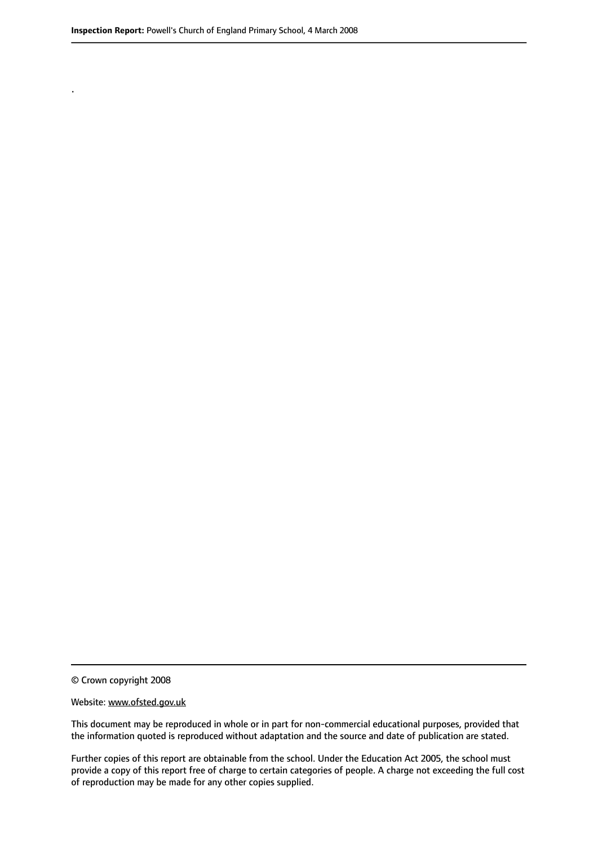.

© Crown copyright 2008

#### Website: www.ofsted.gov.uk

This document may be reproduced in whole or in part for non-commercial educational purposes, provided that the information quoted is reproduced without adaptation and the source and date of publication are stated.

Further copies of this report are obtainable from the school. Under the Education Act 2005, the school must provide a copy of this report free of charge to certain categories of people. A charge not exceeding the full cost of reproduction may be made for any other copies supplied.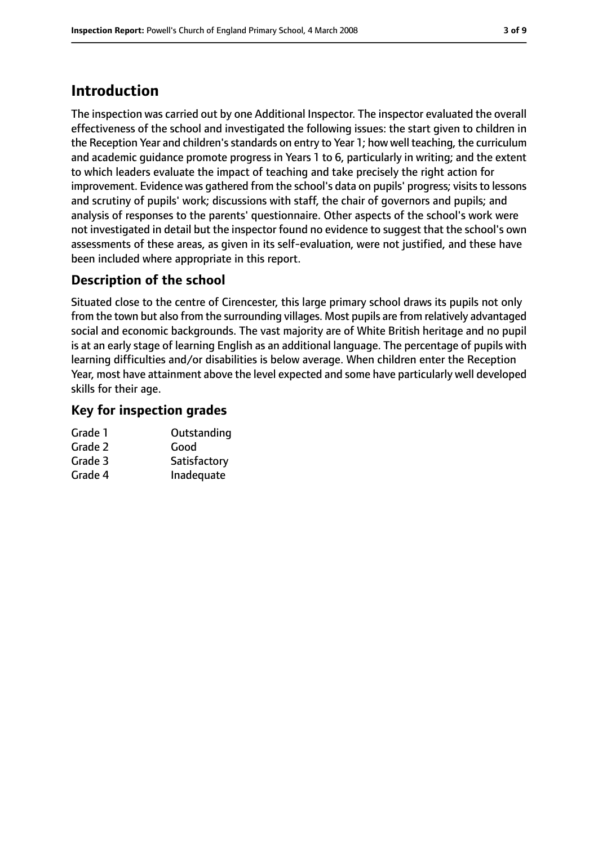# **Introduction**

The inspection was carried out by one Additional Inspector. The inspector evaluated the overall effectiveness of the school and investigated the following issues: the start given to children in the Reception Year and children's standards on entry to Year 1; how well teaching, the curriculum and academic guidance promote progress in Years 1 to 6, particularly in writing; and the extent to which leaders evaluate the impact of teaching and take precisely the right action for improvement. Evidence was gathered from the school's data on pupils' progress; visits to lessons and scrutiny of pupils' work; discussions with staff, the chair of governors and pupils; and analysis of responses to the parents' questionnaire. Other aspects of the school's work were not investigated in detail but the inspector found no evidence to suggest that the school's own assessments of these areas, as given in its self-evaluation, were not justified, and these have been included where appropriate in this report.

### **Description of the school**

Situated close to the centre of Cirencester, this large primary school draws its pupils not only from the town but also from the surrounding villages. Most pupils are from relatively advantaged social and economic backgrounds. The vast majority are of White British heritage and no pupil is at an early stage of learning English as an additional language. The percentage of pupils with learning difficulties and/or disabilities is below average. When children enter the Reception Year, most have attainment above the level expected and some have particularly well developed skills for their age.

### **Key for inspection grades**

| Grade 1 | Outstanding  |
|---------|--------------|
| Grade 2 | Good         |
| Grade 3 | Satisfactory |
| Grade 4 | Inadequate   |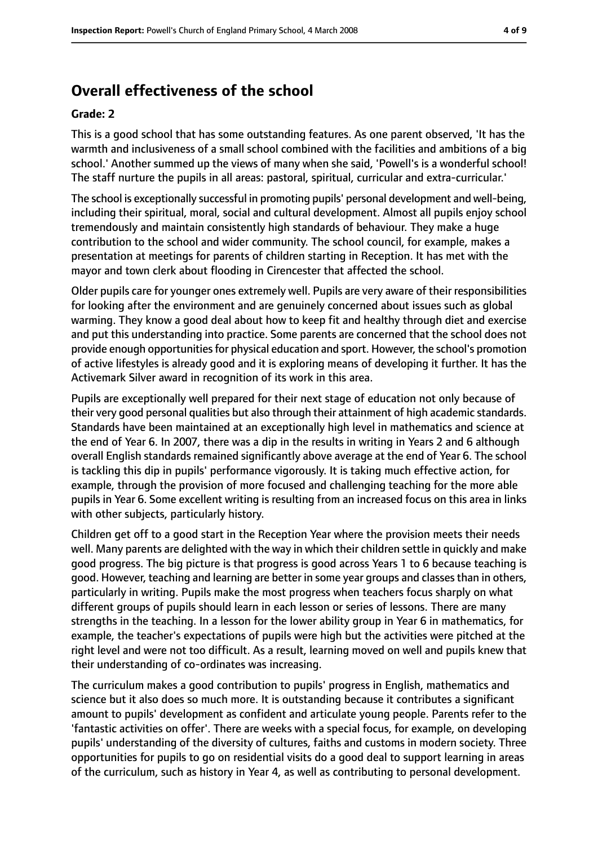## **Overall effectiveness of the school**

#### **Grade: 2**

This is a good school that has some outstanding features. As one parent observed, 'It has the warmth and inclusiveness of a small school combined with the facilities and ambitions of a big school.' Another summed up the views of many when she said, 'Powell's is a wonderful school! The staff nurture the pupils in all areas: pastoral, spiritual, curricular and extra-curricular.'

The school is exceptionally successful in promoting pupils' personal development and well-being, including their spiritual, moral, social and cultural development. Almost all pupils enjoy school tremendously and maintain consistently high standards of behaviour. They make a huge contribution to the school and wider community. The school council, for example, makes a presentation at meetings for parents of children starting in Reception. It has met with the mayor and town clerk about flooding in Cirencester that affected the school.

Older pupils care for younger ones extremely well. Pupils are very aware of their responsibilities for looking after the environment and are genuinely concerned about issues such as global warming. They know a good deal about how to keep fit and healthy through diet and exercise and put this understanding into practice. Some parents are concerned that the school does not provide enough opportunitiesfor physical education and sport. However, the school's promotion of active lifestyles is already good and it is exploring means of developing it further. It has the Activemark Silver award in recognition of its work in this area.

Pupils are exceptionally well prepared for their next stage of education not only because of their very good personal qualities but also through their attainment of high academic standards. Standards have been maintained at an exceptionally high level in mathematics and science at the end of Year 6. In 2007, there was a dip in the results in writing in Years 2 and 6 although overall English standards remained significantly above average at the end of Year 6. The school is tackling this dip in pupils' performance vigorously. It is taking much effective action, for example, through the provision of more focused and challenging teaching for the more able pupils in Year 6. Some excellent writing is resulting from an increased focus on this area in links with other subjects, particularly history.

Children get off to a good start in the Reception Year where the provision meets their needs well. Many parents are delighted with the way in which their children settle in quickly and make good progress. The big picture is that progress is good across Years 1 to 6 because teaching is good. However, teaching and learning are better in some year groups and classesthan in others, particularly in writing. Pupils make the most progress when teachers focus sharply on what different groups of pupils should learn in each lesson or series of lessons. There are many strengths in the teaching. In a lesson for the lower ability group in Year 6 in mathematics, for example, the teacher's expectations of pupils were high but the activities were pitched at the right level and were not too difficult. As a result, learning moved on well and pupils knew that their understanding of co-ordinates was increasing.

The curriculum makes a good contribution to pupils' progress in English, mathematics and science but it also does so much more. It is outstanding because it contributes a significant amount to pupils' development as confident and articulate young people. Parents refer to the 'fantastic activities on offer'. There are weeks with a special focus, for example, on developing pupils' understanding of the diversity of cultures, faiths and customs in modern society. Three opportunities for pupils to go on residential visits do a good deal to support learning in areas of the curriculum, such as history in Year 4, as well as contributing to personal development.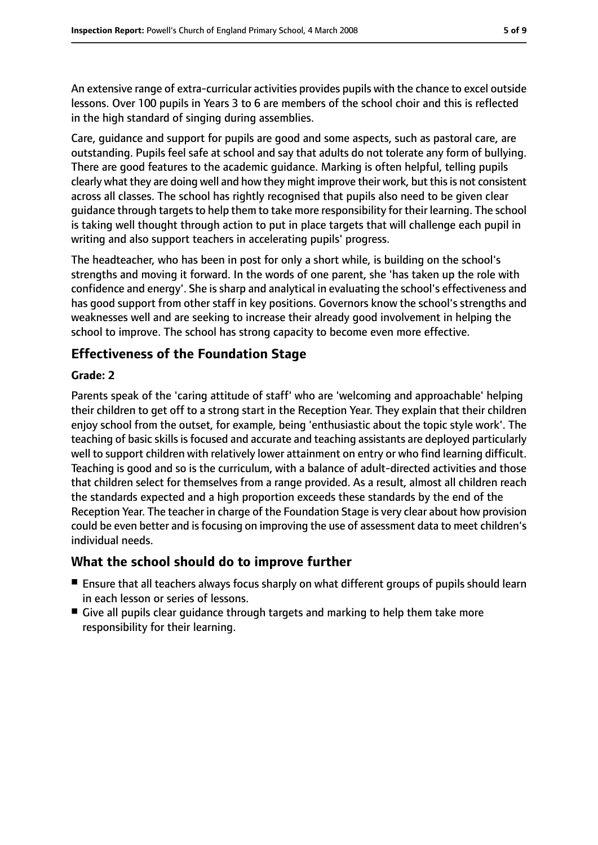An extensive range of extra-curricular activities provides pupils with the chance to excel outside lessons. Over 100 pupils in Years 3 to 6 are members of the school choir and this is reflected in the high standard of singing during assemblies.

Care, guidance and support for pupils are good and some aspects, such as pastoral care, are outstanding. Pupils feel safe at school and say that adults do not tolerate any form of bullying. There are good features to the academic guidance. Marking is often helpful, telling pupils clearly what they are doing well and how they might improve their work, but this is not consistent across all classes. The school has rightly recognised that pupils also need to be given clear guidance through targets to help them to take more responsibility for their learning. The school is taking well thought through action to put in place targets that will challenge each pupil in writing and also support teachers in accelerating pupils' progress.

The headteacher, who has been in post for only a short while, is building on the school's strengths and moving it forward. In the words of one parent, she 'has taken up the role with confidence and energy'. She is sharp and analytical in evaluating the school's effectiveness and has good support from other staff in key positions. Governors know the school's strengths and weaknesses well and are seeking to increase their already good involvement in helping the school to improve. The school has strong capacity to become even more effective.

### **Effectiveness of the Foundation Stage**

#### **Grade: 2**

Parents speak of the 'caring attitude of staff' who are 'welcoming and approachable' helping their children to get off to a strong start in the Reception Year. They explain that their children enjoy school from the outset, for example, being 'enthusiastic about the topic style work'. The teaching of basic skills is focused and accurate and teaching assistants are deployed particularly well to support children with relatively lower attainment on entry or who find learning difficult. Teaching is good and so is the curriculum, with a balance of adult-directed activities and those that children select for themselves from a range provided. As a result, almost all children reach the standards expected and a high proportion exceeds these standards by the end of the Reception Year. The teacher in charge of the Foundation Stage is very clear about how provision could be even better and is focusing on improving the use of assessment data to meet children's individual needs.

### **What the school should do to improve further**

- Ensure that all teachers always focus sharply on what different groups of pupils should learn in each lesson or series of lessons.
- Give all pupils clear quidance through targets and marking to help them take more responsibility for their learning.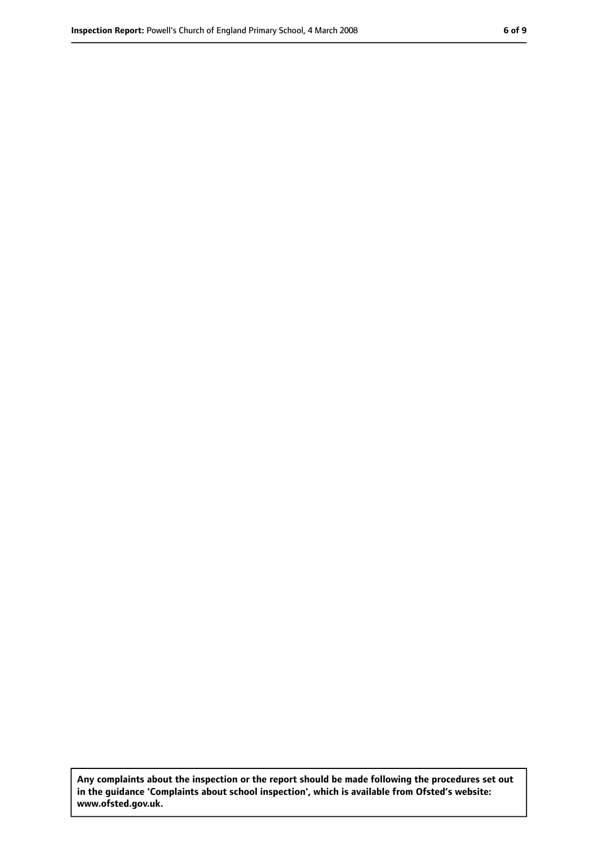**Any complaints about the inspection or the report should be made following the procedures set out in the guidance 'Complaints about school inspection', which is available from Ofsted's website: www.ofsted.gov.uk.**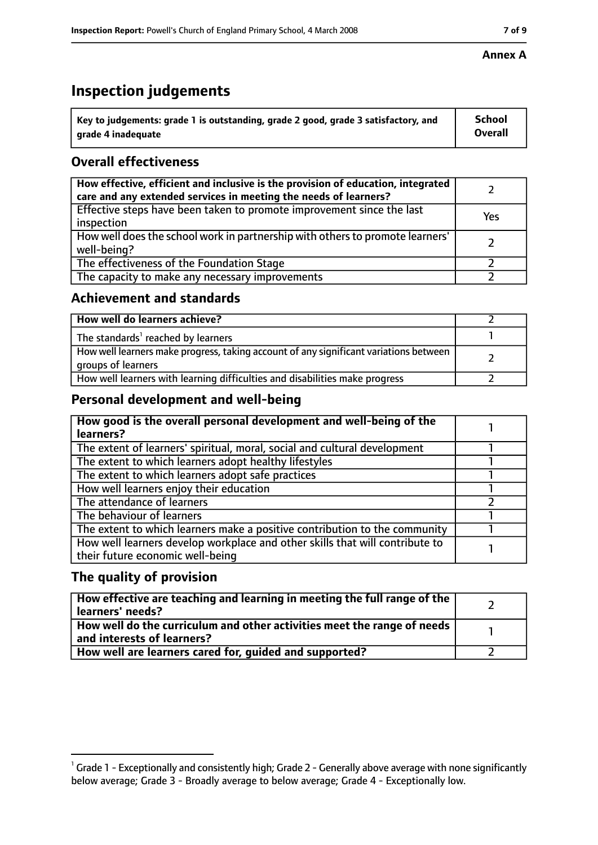# **Inspection judgements**

| $^{\backprime}$ Key to judgements: grade 1 is outstanding, grade 2 good, grade 3 satisfactory, and | <b>School</b>  |
|----------------------------------------------------------------------------------------------------|----------------|
| arade 4 inadeguate                                                                                 | <b>Overall</b> |

### **Overall effectiveness**

| How effective, efficient and inclusive is the provision of education, integrated<br>care and any extended services in meeting the needs of learners? |     |
|------------------------------------------------------------------------------------------------------------------------------------------------------|-----|
| Effective steps have been taken to promote improvement since the last<br>inspection                                                                  | Yes |
| How well does the school work in partnership with others to promote learners'<br>well-being?                                                         |     |
| The effectiveness of the Foundation Stage                                                                                                            |     |
| The capacity to make any necessary improvements                                                                                                      |     |

### **Achievement and standards**

| How well do learners achieve?                                                                               |  |
|-------------------------------------------------------------------------------------------------------------|--|
| The standards <sup>1</sup> reached by learners                                                              |  |
| How well learners make progress, taking account of any significant variations between<br>groups of learners |  |
| How well learners with learning difficulties and disabilities make progress                                 |  |

### **Personal development and well-being**

| How good is the overall personal development and well-being of the<br>learners?                                  |  |
|------------------------------------------------------------------------------------------------------------------|--|
| The extent of learners' spiritual, moral, social and cultural development                                        |  |
| The extent to which learners adopt healthy lifestyles                                                            |  |
| The extent to which learners adopt safe practices                                                                |  |
| How well learners enjoy their education                                                                          |  |
| The attendance of learners                                                                                       |  |
| The behaviour of learners                                                                                        |  |
| The extent to which learners make a positive contribution to the community                                       |  |
| How well learners develop workplace and other skills that will contribute to<br>their future economic well-being |  |

### **The quality of provision**

| How effective are teaching and learning in meeting the full range of the<br>learners' needs?          |  |
|-------------------------------------------------------------------------------------------------------|--|
| How well do the curriculum and other activities meet the range of needs<br>and interests of learners? |  |
| How well are learners cared for, guided and supported?                                                |  |

#### **Annex A**

 $^1$  Grade 1 - Exceptionally and consistently high; Grade 2 - Generally above average with none significantly below average; Grade 3 - Broadly average to below average; Grade 4 - Exceptionally low.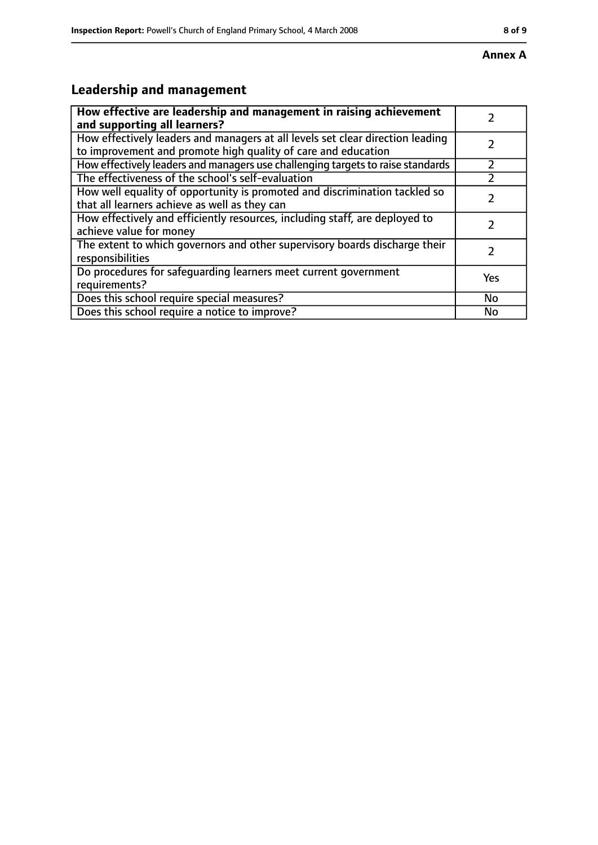# **Leadership and management**

| How effective are leadership and management in raising achievement<br>and supporting all learners?                                              |     |
|-------------------------------------------------------------------------------------------------------------------------------------------------|-----|
| How effectively leaders and managers at all levels set clear direction leading<br>to improvement and promote high quality of care and education |     |
| How effectively leaders and managers use challenging targets to raise standards                                                                 |     |
| The effectiveness of the school's self-evaluation                                                                                               |     |
| How well equality of opportunity is promoted and discrimination tackled so<br>that all learners achieve as well as they can                     |     |
| How effectively and efficiently resources, including staff, are deployed to<br>achieve value for money                                          | 7   |
| The extent to which governors and other supervisory boards discharge their<br>responsibilities                                                  |     |
| Do procedures for safequarding learners meet current government<br>requirements?                                                                | Yes |
| Does this school require special measures?                                                                                                      | No  |
| Does this school require a notice to improve?                                                                                                   | No  |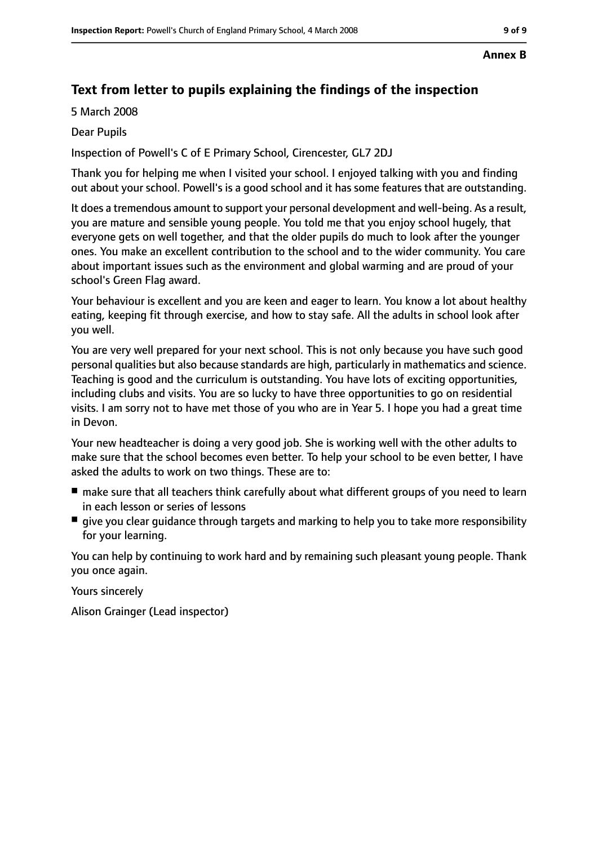#### **Annex B**

### **Text from letter to pupils explaining the findings of the inspection**

5 March 2008

Dear Pupils

Inspection of Powell's C of E Primary School, Cirencester, GL7 2DJ

Thank you for helping me when I visited your school. I enjoyed talking with you and finding out about your school. Powell's is a good school and it has some features that are outstanding.

It does a tremendous amount to support your personal development and well-being. As a result, you are mature and sensible young people. You told me that you enjoy school hugely, that everyone gets on well together, and that the older pupils do much to look after the younger ones. You make an excellent contribution to the school and to the wider community. You care about important issues such as the environment and global warming and are proud of your school's Green Flag award.

Your behaviour is excellent and you are keen and eager to learn. You know a lot about healthy eating, keeping fit through exercise, and how to stay safe. All the adults in school look after you well.

You are very well prepared for your next school. This is not only because you have such good personal qualities but also because standards are high, particularly in mathematics and science. Teaching is good and the curriculum is outstanding. You have lots of exciting opportunities, including clubs and visits. You are so lucky to have three opportunities to go on residential visits. I am sorry not to have met those of you who are in Year 5. I hope you had a great time in Devon.

Your new headteacher is doing a very good job. She is working well with the other adults to make sure that the school becomes even better. To help your school to be even better, I have asked the adults to work on two things. These are to:

- make sure that all teachers think carefully about what different groups of you need to learn in each lesson or series of lessons
- give you clear quidance through targets and marking to help you to take more responsibility for your learning.

You can help by continuing to work hard and by remaining such pleasant young people. Thank you once again.

Yours sincerely

Alison Grainger (Lead inspector)